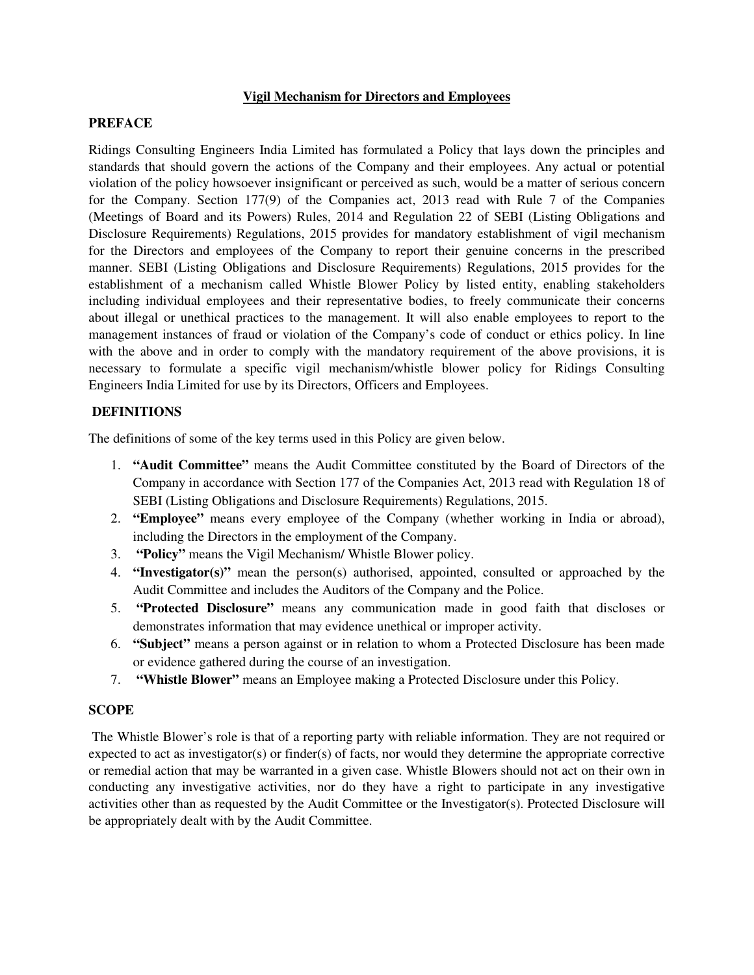#### **Vigil Mechanism for Directors and Employees**

### **PREFACE**

Ridings Consulting Engineers India Limited has formulated a Policy that lays down the principles and standards that should govern the actions of the Company and their employees. Any actual or potential violation of the policy howsoever insignificant or perceived as such, would be a matter of serious concern for the Company. Section 177(9) of the Companies act, 2013 read with Rule 7 of the Companies (Meetings of Board and its Powers) Rules, 2014 and Regulation 22 of SEBI (Listing Obligations and Disclosure Requirements) Regulations, 2015 provides for mandatory establishment of vigil mechanism for the Directors and employees of the Company to report their genuine concerns in the prescribed manner. SEBI (Listing Obligations and Disclosure Requirements) Regulations, 2015 provides for the establishment of a mechanism called Whistle Blower Policy by listed entity, enabling stakeholders including individual employees and their representative bodies, to freely communicate their concerns about illegal or unethical practices to the management. It will also enable employees to report to the management instances of fraud or violation of the Company's code of conduct or ethics policy. In line with the above and in order to comply with the mandatory requirement of the above provisions, it is necessary to formulate a specific vigil mechanism/whistle blower policy for Ridings Consulting Engineers India Limited for use by its Directors, Officers and Employees.

## **DEFINITIONS**

The definitions of some of the key terms used in this Policy are given below.

- 1. **"Audit Committee"** means the Audit Committee constituted by the Board of Directors of the Company in accordance with Section 177 of the Companies Act, 2013 read with Regulation 18 of SEBI (Listing Obligations and Disclosure Requirements) Regulations, 2015.
- 2. **"Employee"** means every employee of the Company (whether working in India or abroad), including the Directors in the employment of the Company.
- 3. **"Policy"** means the Vigil Mechanism/ Whistle Blower policy.
- 4. **"Investigator(s)"** mean the person(s) authorised, appointed, consulted or approached by the Audit Committee and includes the Auditors of the Company and the Police.
- 5. **"Protected Disclosure"** means any communication made in good faith that discloses or demonstrates information that may evidence unethical or improper activity.
- 6. **"Subject"** means a person against or in relation to whom a Protected Disclosure has been made or evidence gathered during the course of an investigation.
- 7. **"Whistle Blower"** means an Employee making a Protected Disclosure under this Policy.

## **SCOPE**

 The Whistle Blower's role is that of a reporting party with reliable information. They are not required or expected to act as investigator(s) or finder(s) of facts, nor would they determine the appropriate corrective or remedial action that may be warranted in a given case. Whistle Blowers should not act on their own in conducting any investigative activities, nor do they have a right to participate in any investigative activities other than as requested by the Audit Committee or the Investigator(s). Protected Disclosure will be appropriately dealt with by the Audit Committee.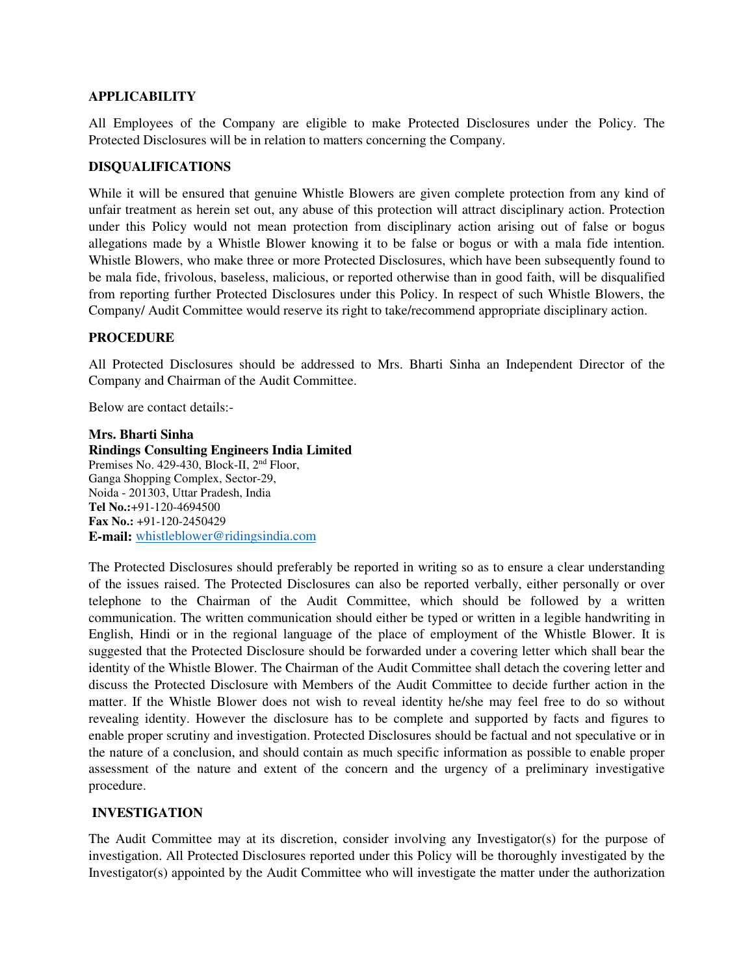#### **APPLICABILITY**

All Employees of the Company are eligible to make Protected Disclosures under the Policy. The Protected Disclosures will be in relation to matters concerning the Company.

## **DISQUALIFICATIONS**

While it will be ensured that genuine Whistle Blowers are given complete protection from any kind of unfair treatment as herein set out, any abuse of this protection will attract disciplinary action. Protection under this Policy would not mean protection from disciplinary action arising out of false or bogus allegations made by a Whistle Blower knowing it to be false or bogus or with a mala fide intention. Whistle Blowers, who make three or more Protected Disclosures, which have been subsequently found to be mala fide, frivolous, baseless, malicious, or reported otherwise than in good faith, will be disqualified from reporting further Protected Disclosures under this Policy. In respect of such Whistle Blowers, the Company/ Audit Committee would reserve its right to take/recommend appropriate disciplinary action.

### **PROCEDURE**

All Protected Disclosures should be addressed to Mrs. Bharti Sinha an Independent Director of the Company and Chairman of the Audit Committee.

Below are contact details:-

#### **Mrs. Bharti Sinha**

**Rindings Consulting Engineers India Limited**  Premises No. 429-430, Block-II, 2<sup>nd</sup> Floor, Ganga Shopping Complex, Sector-29, Noida - 201303, Uttar Pradesh, India **Tel No.:**+91-120-4694500 **Fax No.:** +91-120-2450429 **E-mail:** whistleblower@ridingsindia.com

The Protected Disclosures should preferably be reported in writing so as to ensure a clear understanding of the issues raised. The Protected Disclosures can also be reported verbally, either personally or over telephone to the Chairman of the Audit Committee, which should be followed by a written communication. The written communication should either be typed or written in a legible handwriting in English, Hindi or in the regional language of the place of employment of the Whistle Blower. It is suggested that the Protected Disclosure should be forwarded under a covering letter which shall bear the identity of the Whistle Blower. The Chairman of the Audit Committee shall detach the covering letter and discuss the Protected Disclosure with Members of the Audit Committee to decide further action in the matter. If the Whistle Blower does not wish to reveal identity he/she may feel free to do so without revealing identity. However the disclosure has to be complete and supported by facts and figures to enable proper scrutiny and investigation. Protected Disclosures should be factual and not speculative or in the nature of a conclusion, and should contain as much specific information as possible to enable proper assessment of the nature and extent of the concern and the urgency of a preliminary investigative procedure.

## **INVESTIGATION**

The Audit Committee may at its discretion, consider involving any Investigator(s) for the purpose of investigation. All Protected Disclosures reported under this Policy will be thoroughly investigated by the Investigator(s) appointed by the Audit Committee who will investigate the matter under the authorization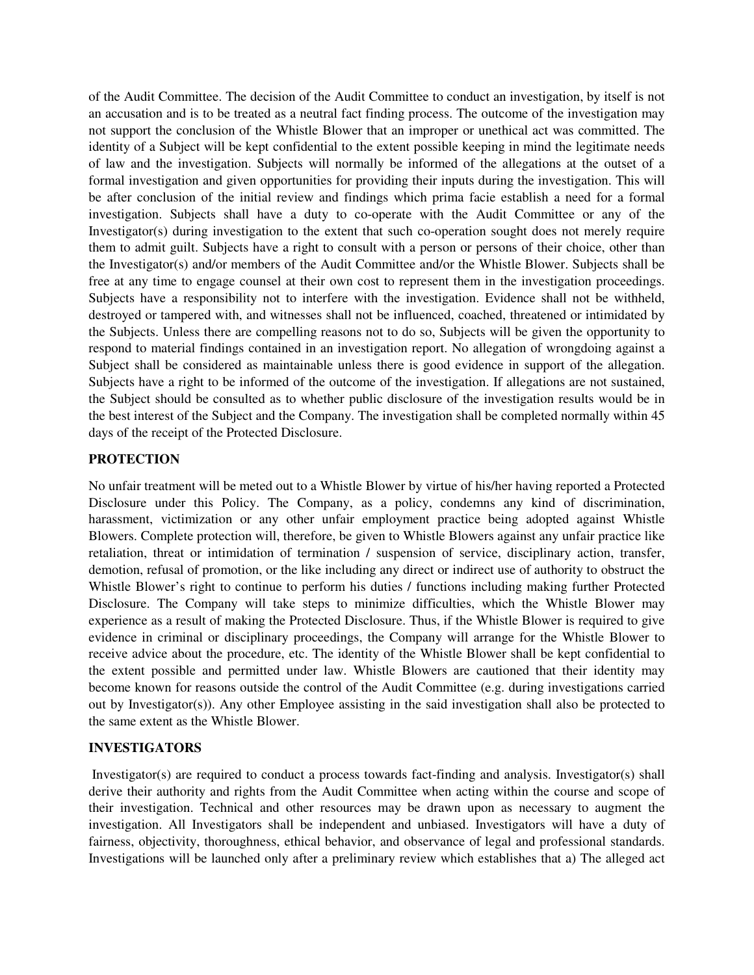of the Audit Committee. The decision of the Audit Committee to conduct an investigation, by itself is not an accusation and is to be treated as a neutral fact finding process. The outcome of the investigation may not support the conclusion of the Whistle Blower that an improper or unethical act was committed. The identity of a Subject will be kept confidential to the extent possible keeping in mind the legitimate needs of law and the investigation. Subjects will normally be informed of the allegations at the outset of a formal investigation and given opportunities for providing their inputs during the investigation. This will be after conclusion of the initial review and findings which prima facie establish a need for a formal investigation. Subjects shall have a duty to co-operate with the Audit Committee or any of the Investigator(s) during investigation to the extent that such co-operation sought does not merely require them to admit guilt. Subjects have a right to consult with a person or persons of their choice, other than the Investigator(s) and/or members of the Audit Committee and/or the Whistle Blower. Subjects shall be free at any time to engage counsel at their own cost to represent them in the investigation proceedings. Subjects have a responsibility not to interfere with the investigation. Evidence shall not be withheld, destroyed or tampered with, and witnesses shall not be influenced, coached, threatened or intimidated by the Subjects. Unless there are compelling reasons not to do so, Subjects will be given the opportunity to respond to material findings contained in an investigation report. No allegation of wrongdoing against a Subject shall be considered as maintainable unless there is good evidence in support of the allegation. Subjects have a right to be informed of the outcome of the investigation. If allegations are not sustained, the Subject should be consulted as to whether public disclosure of the investigation results would be in the best interest of the Subject and the Company. The investigation shall be completed normally within 45 days of the receipt of the Protected Disclosure.

### **PROTECTION**

No unfair treatment will be meted out to a Whistle Blower by virtue of his/her having reported a Protected Disclosure under this Policy. The Company, as a policy, condemns any kind of discrimination, harassment, victimization or any other unfair employment practice being adopted against Whistle Blowers. Complete protection will, therefore, be given to Whistle Blowers against any unfair practice like retaliation, threat or intimidation of termination / suspension of service, disciplinary action, transfer, demotion, refusal of promotion, or the like including any direct or indirect use of authority to obstruct the Whistle Blower's right to continue to perform his duties / functions including making further Protected Disclosure. The Company will take steps to minimize difficulties, which the Whistle Blower may experience as a result of making the Protected Disclosure. Thus, if the Whistle Blower is required to give evidence in criminal or disciplinary proceedings, the Company will arrange for the Whistle Blower to receive advice about the procedure, etc. The identity of the Whistle Blower shall be kept confidential to the extent possible and permitted under law. Whistle Blowers are cautioned that their identity may become known for reasons outside the control of the Audit Committee (e.g. during investigations carried out by Investigator(s)). Any other Employee assisting in the said investigation shall also be protected to the same extent as the Whistle Blower.

## **INVESTIGATORS**

 Investigator(s) are required to conduct a process towards fact-finding and analysis. Investigator(s) shall derive their authority and rights from the Audit Committee when acting within the course and scope of their investigation. Technical and other resources may be drawn upon as necessary to augment the investigation. All Investigators shall be independent and unbiased. Investigators will have a duty of fairness, objectivity, thoroughness, ethical behavior, and observance of legal and professional standards. Investigations will be launched only after a preliminary review which establishes that a) The alleged act